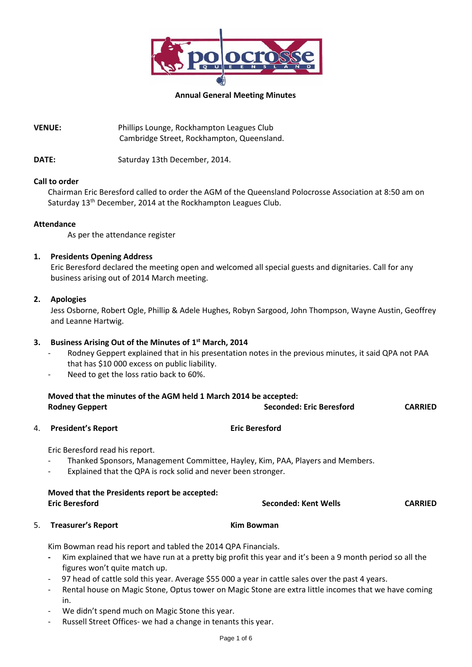

#### **Annual General Meeting Minutes**

**VENUE:** Phillips Lounge, Rockhampton Leagues Club Cambridge Street, Rockhampton, Queensland.

DATE: Saturday 13th December, 2014.

#### **Call to order**

Chairman Eric Beresford called to order the AGM of the Queensland Polocrosse Association at 8:50 am on Saturday 13<sup>th</sup> December, 2014 at the Rockhampton Leagues Club.

#### **Attendance**

As per the attendance register

# **1. Presidents Opening Address**

Eric Beresford declared the meeting open and welcomed all special guests and dignitaries. Call for any business arising out of 2014 March meeting.

#### **2. Apologies**

Jess Osborne, Robert Ogle, Phillip & Adele Hughes, Robyn Sargood, John Thompson, Wayne Austin, Geoffrey and Leanne Hartwig.

# **3. Business Arising Out of the Minutes of 1 st March, 2014**

- Rodney Geppert explained that in his presentation notes in the previous minutes, it said QPA not PAA that has \$10 000 excess on public liability.
- Need to get the loss ratio back to 60%.

|    | Moved that the minutes of the AGM held 1 March 2014 be accepted:<br><b>Rodney Geppert</b>                                                                                                                                                                                                                                                                                                                                                                                        | <b>Seconded: Eric Beresford</b> | <b>CARRIED</b> |  |
|----|----------------------------------------------------------------------------------------------------------------------------------------------------------------------------------------------------------------------------------------------------------------------------------------------------------------------------------------------------------------------------------------------------------------------------------------------------------------------------------|---------------------------------|----------------|--|
| 4. | <b>President's Report</b>                                                                                                                                                                                                                                                                                                                                                                                                                                                        | <b>Eric Beresford</b>           |                |  |
|    | Eric Beresford read his report.<br>Thanked Sponsors, Management Committee, Hayley, Kim, PAA, Players and Members.<br>Explained that the QPA is rock solid and never been stronger.<br>$\overline{\phantom{a}}$                                                                                                                                                                                                                                                                   |                                 |                |  |
|    | Moved that the Presidents report be accepted:<br><b>Eric Beresford</b>                                                                                                                                                                                                                                                                                                                                                                                                           | Seconded: Kent Wells            | <b>CARRIED</b> |  |
| 5. | <b>Treasurer's Report</b>                                                                                                                                                                                                                                                                                                                                                                                                                                                        | <b>Kim Bowman</b>               |                |  |
|    | Kim Bowman read his report and tabled the 2014 QPA Financials.<br>Kim explained that we have run at a pretty big profit this year and it's been a 9 month period so all the<br>$\overline{\phantom{a}}$<br>figures won't quite match up.<br>97 head of cattle sold this year. Average \$55 000 a year in cattle sales over the past 4 years.<br>$\overline{\phantom{a}}$<br>Rental house on Magic Stone. Ontus tower on Magic Stone are extra little incomes that we have coming |                                 |                |  |

- Rental house on Magic Stone, Optus tower on Magic Stone are extra little incomes that we have coming in.
- We didn't spend much on Magic Stone this year.
- Russell Street Offices- we had a change in tenants this year.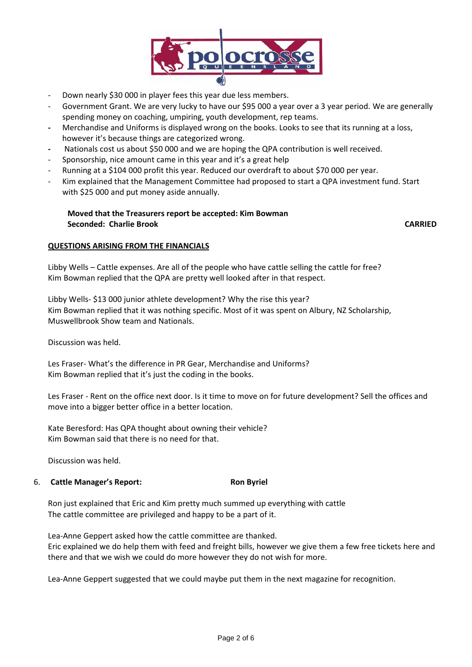

- Down nearly \$30 000 in player fees this year due less members.
- Government Grant. We are very lucky to have our \$95 000 a year over a 3 year period. We are generally spending money on coaching, umpiring, youth development, rep teams.
- **-** Merchandise and Uniforms is displayed wrong on the books. Looks to see that its running at a loss, however it's because things are categorized wrong.
- **-** Nationals cost us about \$50 000 and we are hoping the QPA contribution is well received.
- Sponsorship, nice amount came in this year and it's a great help
- Running at a \$104 000 profit this year. Reduced our overdraft to about \$70 000 per year.
- Kim explained that the Management Committee had proposed to start a QPA investment fund. Start with \$25 000 and put money aside annually.

# **Moved that the Treasurers report be accepted: Kim Bowman Seconded: Charlie Brook CARRIED**

## **QUESTIONS ARISING FROM THE FINANCIALS**

Libby Wells – Cattle expenses. Are all of the people who have cattle selling the cattle for free? Kim Bowman replied that the QPA are pretty well looked after in that respect.

Libby Wells- \$13 000 junior athlete development? Why the rise this year? Kim Bowman replied that it was nothing specific. Most of it was spent on Albury, NZ Scholarship, Muswellbrook Show team and Nationals.

Discussion was held.

Les Fraser- What's the difference in PR Gear, Merchandise and Uniforms? Kim Bowman replied that it's just the coding in the books.

Les Fraser - Rent on the office next door. Is it time to move on for future development? Sell the offices and move into a bigger better office in a better location.

Kate Beresford: Has QPA thought about owning their vehicle? Kim Bowman said that there is no need for that.

Discussion was held.

## 6. **Cattle Manager's Report: Ron Byriel**

Ron just explained that Eric and Kim pretty much summed up everything with cattle The cattle committee are privileged and happy to be a part of it.

Lea-Anne Geppert asked how the cattle committee are thanked. Eric explained we do help them with feed and freight bills, however we give them a few free tickets here and there and that we wish we could do more however they do not wish for more.

Lea-Anne Geppert suggested that we could maybe put them in the next magazine for recognition.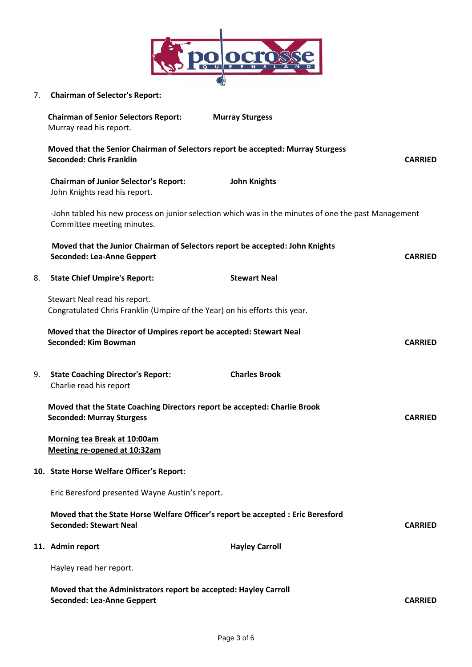

7. **Chairman of Selector's Report:**

|    | <b>Chairman of Senior Selectors Report:</b><br>Murray read his report.                                                             | <b>Murray Sturgess</b> |                |
|----|------------------------------------------------------------------------------------------------------------------------------------|------------------------|----------------|
|    | Moved that the Senior Chairman of Selectors report be accepted: Murray Sturgess<br><b>Seconded: Chris Franklin</b>                 |                        |                |
|    | <b>Chairman of Junior Selector's Report:</b><br>John Knights read his report.                                                      | <b>John Knights</b>    |                |
|    | -John tabled his new process on junior selection which was in the minutes of one the past Management<br>Committee meeting minutes. |                        |                |
|    | Moved that the Junior Chairman of Selectors report be accepted: John Knights<br><b>Seconded: Lea-Anne Geppert</b>                  |                        | <b>CARRIED</b> |
| 8. | <b>State Chief Umpire's Report:</b>                                                                                                | <b>Stewart Neal</b>    |                |
|    | Stewart Neal read his report.<br>Congratulated Chris Franklin (Umpire of the Year) on his efforts this year.                       |                        |                |
|    | Moved that the Director of Umpires report be accepted: Stewart Neal<br>Seconded: Kim Bowman                                        |                        | <b>CARRIED</b> |
| 9. | <b>State Coaching Director's Report:</b><br>Charlie read his report                                                                | <b>Charles Brook</b>   |                |
|    | Moved that the State Coaching Directors report be accepted: Charlie Brook<br><b>Seconded: Murray Sturgess</b><br><b>CARRIED</b>    |                        |                |
|    | Morning tea Break at 10:00am<br>Meeting re-opened at 10:32am                                                                       |                        |                |
|    | 10. State Horse Welfare Officer's Report:                                                                                          |                        |                |
|    | Eric Beresford presented Wayne Austin's report.                                                                                    |                        |                |
|    | Moved that the State Horse Welfare Officer's report be accepted : Eric Beresford<br><b>Seconded: Stewart Neal</b>                  |                        | <b>CARRIED</b> |
|    | 11. Admin report                                                                                                                   | <b>Hayley Carroll</b>  |                |
|    | Hayley read her report.                                                                                                            |                        |                |
|    | Moved that the Administrators report be accepted: Hayley Carroll<br><b>Seconded: Lea-Anne Geppert</b>                              |                        | <b>CARRIED</b> |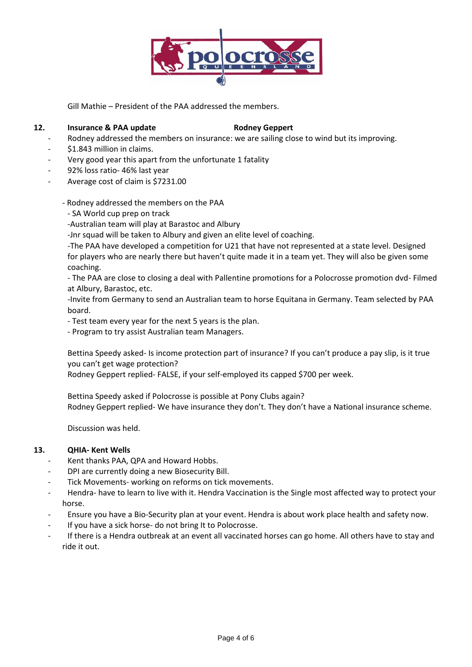

Gill Mathie – President of the PAA addressed the members.

### **12. Insurance & PAA update** Rodney Geppert

- Rodney addressed the members on insurance: we are sailing close to wind but its improving.
- \$1.843 million in claims.
- Very good year this apart from the unfortunate 1 fatality
- 92% loss ratio- 46% last year
- Average cost of claim is \$7231.00
	- Rodney addressed the members on the PAA
		- SA World cup prep on track
	- -Australian team will play at Barastoc and Albury
	- -Jnr squad will be taken to Albury and given an elite level of coaching.

-The PAA have developed a competition for U21 that have not represented at a state level. Designed for players who are nearly there but haven't quite made it in a team yet. They will also be given some coaching.

- The PAA are close to closing a deal with Pallentine promotions for a Polocrosse promotion dvd- Filmed at Albury, Barastoc, etc.

-Invite from Germany to send an Australian team to horse Equitana in Germany. Team selected by PAA board.

- Test team every year for the next 5 years is the plan.

- Program to try assist Australian team Managers.

Bettina Speedy asked- Is income protection part of insurance? If you can't produce a pay slip, is it true you can't get wage protection?

Rodney Geppert replied- FALSE, if your self-employed its capped \$700 per week.

Bettina Speedy asked if Polocrosse is possible at Pony Clubs again? Rodney Geppert replied- We have insurance they don't. They don't have a National insurance scheme.

Discussion was held.

## **13. QHIA- Kent Wells**

- Kent thanks PAA, QPA and Howard Hobbs.
- DPI are currently doing a new Biosecurity Bill.
- Tick Movements- working on reforms on tick movements.
- Hendra- have to learn to live with it. Hendra Vaccination is the Single most affected way to protect your horse.
- Ensure you have a Bio-Security plan at your event. Hendra is about work place health and safety now.
- If you have a sick horse- do not bring It to Polocrosse.
- If there is a Hendra outbreak at an event all vaccinated horses can go home. All others have to stay and ride it out.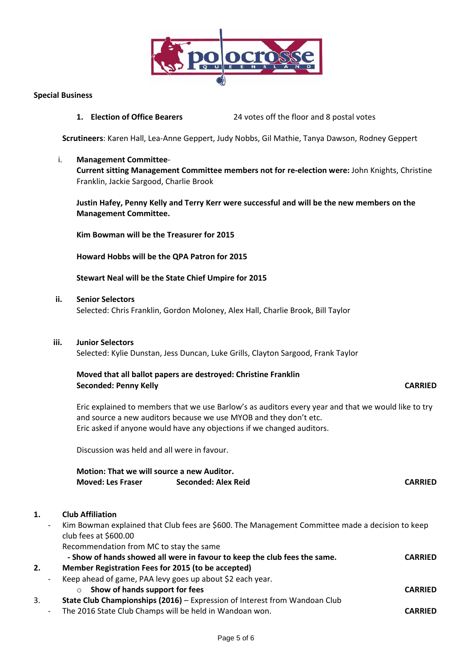

#### **Special Business**

**1. Election of Office Bearers** 24 votes off the floor and 8 postal votes

**Scrutineers**: Karen Hall, Lea-Anne Geppert, Judy Nobbs, Gil Mathie, Tanya Dawson, Rodney Geppert

i. **Management Committee**-**Current sitting Management Committee members not for re-election were:** John Knights, Christine Franklin, Jackie Sargood, Charlie Brook

**Justin Hafey, Penny Kelly and Terry Kerr were successful and will be the new members on the Management Committee.**

**Kim Bowman will be the Treasurer for 2015**

**Howard Hobbs will be the QPA Patron for 2015**

**Stewart Neal will be the State Chief Umpire for 2015**

**ii. Senior Selectors**

Selected: Chris Franklin, Gordon Moloney, Alex Hall, Charlie Brook, Bill Taylor

#### **iii. Junior Selectors**

Selected: Kylie Dunstan, Jess Duncan, Luke Grills, Clayton Sargood, Frank Taylor

## **Moved that all ballot papers are destroyed: Christine Franklin Seconded: Penny Kelly CARRIED**

Eric explained to members that we use Barlow's as auditors every year and that we would like to try and source a new auditors because we use MYOB and they don't etc. Eric asked if anyone would have any objections if we changed auditors.

Discussion was held and all were in favour.

| Motion: That we will source a new Auditor. |                     |                |  |  |  |  |
|--------------------------------------------|---------------------|----------------|--|--|--|--|
| <b>Moved: Les Fraser</b>                   | Seconded: Alex Reid | <b>CARRIED</b> |  |  |  |  |

## **1. Club Affiliation**

Kim Bowman explained that Club fees are \$600. The Management Committee made a decision to keep club fees at \$600.00 Recommendation from MC to stay the same **- Show of hands showed all were in favour to keep the club fees the same. CARRIED 2. Member Registration Fees for 2015 (to be accepted)**

Keep ahead of game, PAA levy goes up about \$2 each year.

- o **Show of hands support for fees CARRIED**
- 3. **State Club Championships (2016)** Expression of Interest from Wandoan Club
	- The 2016 State Club Champs will be held in Wandoan won. **CARRIED**